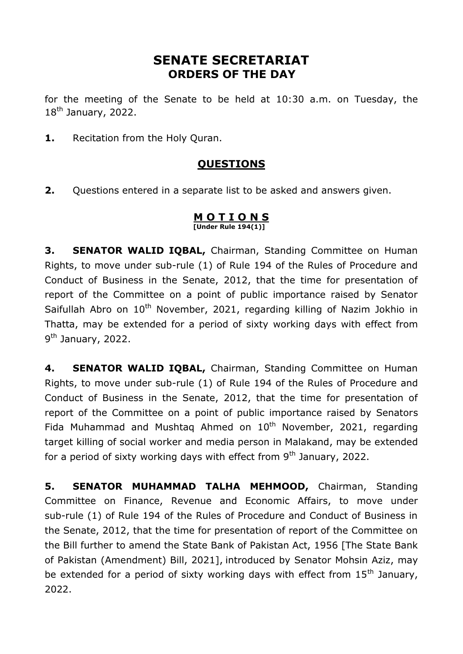# **SENATE SECRETARIAT ORDERS OF THE DAY**

for the meeting of the Senate to be held at 10:30 a.m. on Tuesday, the 18<sup>th</sup> January, 2022.

**1.** Recitation from the Holy Quran.

## **QUESTIONS**

**2.** Questions entered in a separate list to be asked and answers given.

#### **M O T I O N S [Under Rule 194(1)]**

**3. SENATOR WALID IQBAL,** Chairman, Standing Committee on Human Rights, to move under sub-rule (1) of Rule 194 of the Rules of Procedure and Conduct of Business in the Senate, 2012, that the time for presentation of report of the Committee on a point of public importance raised by Senator Saifullah Abro on  $10^{th}$  November, 2021, regarding killing of Nazim Jokhio in Thatta, may be extended for a period of sixty working days with effect from 9<sup>th</sup> January, 2022.

**4. SENATOR WALID IQBAL,** Chairman, Standing Committee on Human Rights, to move under sub-rule (1) of Rule 194 of the Rules of Procedure and Conduct of Business in the Senate, 2012, that the time for presentation of report of the Committee on a point of public importance raised by Senators Fida Muhammad and Mushtaq Ahmed on  $10<sup>th</sup>$  November, 2021, regarding target killing of social worker and media person in Malakand, may be extended for a period of sixty working days with effect from  $9<sup>th</sup>$  January, 2022.

**5. SENATOR MUHAMMAD TALHA MEHMOOD,** Chairman, Standing Committee on Finance, Revenue and Economic Affairs, to move under sub-rule (1) of Rule 194 of the Rules of Procedure and Conduct of Business in the Senate, 2012, that the time for presentation of report of the Committee on the Bill further to amend the State Bank of Pakistan Act, 1956 [The State Bank of Pakistan (Amendment) Bill, 2021], introduced by Senator Mohsin Aziz, may be extended for a period of sixty working days with effect from  $15<sup>th</sup>$  January, 2022.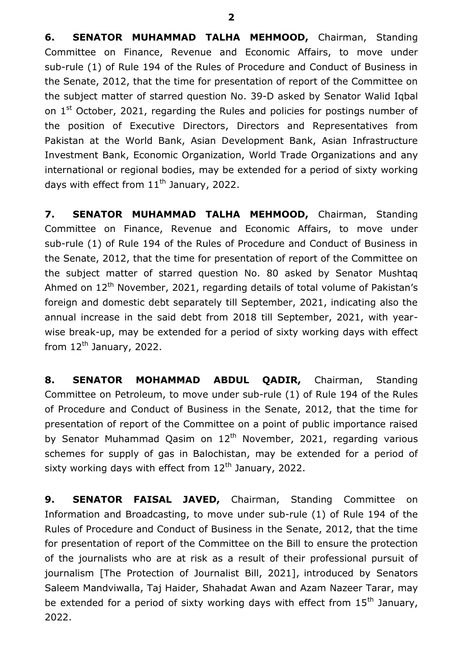**6. SENATOR MUHAMMAD TALHA MEHMOOD,** Chairman, Standing Committee on Finance, Revenue and Economic Affairs, to move under sub-rule (1) of Rule 194 of the Rules of Procedure and Conduct of Business in the Senate, 2012, that the time for presentation of report of the Committee on the subject matter of starred question No. 39-D asked by Senator Walid Iqbal on 1<sup>st</sup> October, 2021, regarding the Rules and policies for postings number of the position of Executive Directors, Directors and Representatives from Pakistan at the World Bank, Asian Development Bank, Asian Infrastructure Investment Bank, Economic Organization, World Trade Organizations and any international or regional bodies, may be extended for a period of sixty working days with effect from  $11<sup>th</sup>$  January, 2022.

**7. SENATOR MUHAMMAD TALHA MEHMOOD,** Chairman, Standing Committee on Finance, Revenue and Economic Affairs, to move under sub-rule (1) of Rule 194 of the Rules of Procedure and Conduct of Business in the Senate, 2012, that the time for presentation of report of the Committee on the subject matter of starred question No. 80 asked by Senator Mushtaq Ahmed on 12<sup>th</sup> November, 2021, regarding details of total volume of Pakistan's foreign and domestic debt separately till September, 2021, indicating also the annual increase in the said debt from 2018 till September, 2021, with yearwise break-up, may be extended for a period of sixty working days with effect from  $12^{th}$  January, 2022.

**8. SENATOR MOHAMMAD ABDUL QADIR,** Chairman, Standing Committee on Petroleum, to move under sub-rule (1) of Rule 194 of the Rules of Procedure and Conduct of Business in the Senate, 2012, that the time for presentation of report of the Committee on a point of public importance raised by Senator Muhammad Qasim on  $12<sup>th</sup>$  November, 2021, regarding various schemes for supply of gas in Balochistan, may be extended for a period of sixty working days with effect from  $12<sup>th</sup>$  January, 2022.

**9. SENATOR FAISAL JAVED,** Chairman, Standing Committee on Information and Broadcasting, to move under sub-rule (1) of Rule 194 of the Rules of Procedure and Conduct of Business in the Senate, 2012, that the time for presentation of report of the Committee on the Bill to ensure the protection of the journalists who are at risk as a result of their professional pursuit of journalism [The Protection of Journalist Bill, 2021], introduced by Senators Saleem Mandviwalla, Taj Haider, Shahadat Awan and Azam Nazeer Tarar, may be extended for a period of sixty working days with effect from  $15<sup>th</sup>$  January, 2022.